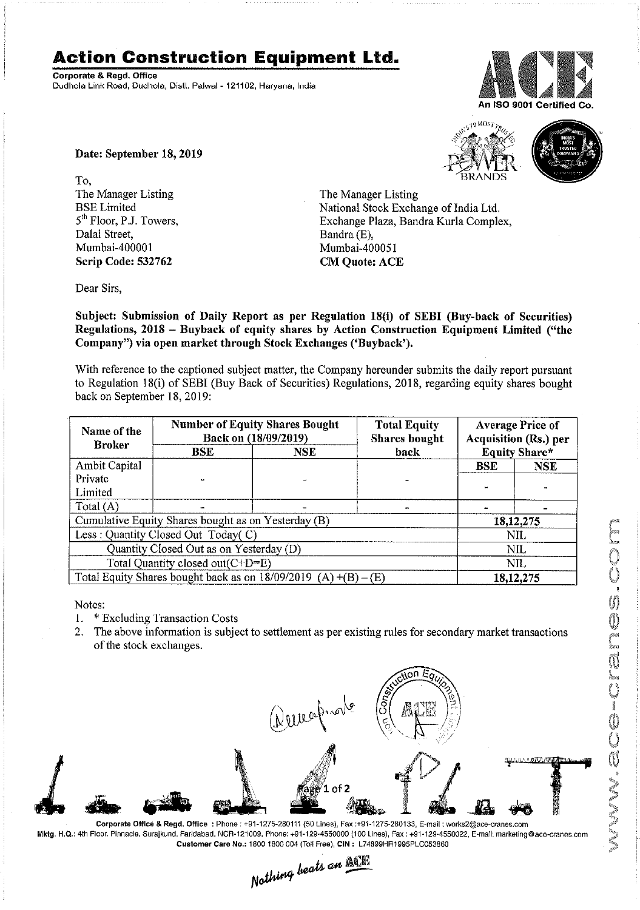## Action Construction Equipment Ltd.

Corporate & Regd. Office Dudhola Link Road, Dudhola, Distl. Palwal - 121102, Haryana, India



Date: September 18, 2019

To, The Manager Listing<br>BSE Limited Dalal Street, and Bandra (E), Bandra (E), Bandra (E), Bandra (E), Bandra (E), Bandra (E), Bandra (E), Bandra (E), Bandra (E), Bandra (E), Bandra (E), Bandra (E), Bandra (E), Bandra (E), Bandra (E), Bandra (E), Bandra (E), Scrip Code: 532762 CM Quote: ACE



The Manager Listing BSE Limited National Stock Exchange of India Ltd.<br>
5<sup>th</sup> Floor, P.J. Towers, Exchange Plaza, Bandra Kurla Comple 5<sup>th</sup> Floor, P.J. Towers, Exchange Plaza, Bandra Kurla Complex, Dalal Street, Dalal Street, Mumbai-400051

Dear Sirs,

Subject: Submission of Daily Report as per Regulation 18(i) of SEBI (Buy-back of Securities) Regulations, 2018 — Buyback of equity shares by Action Construction Equipment Limited ("the Company") via open market through Stock Exchanges ('Buyback').

With reference to the captioned subject matter, the Company hereunder submits the daily report pursuant to Regulation 18(i) of SEBI (Buy Back of Securities) Regulations, 2018, regarding equity shares bought back on September 18, 2019:

| Name of the<br><b>Broker</b>                                      | <b>Number of Equity Shares Bought</b><br>Back on (18/09/2019) |            | <b>Total Equity</b><br><b>Shares bought</b> | <b>Average Price of</b><br>Acquisition (Rs.) per |             |  |
|-------------------------------------------------------------------|---------------------------------------------------------------|------------|---------------------------------------------|--------------------------------------------------|-------------|--|
|                                                                   | <b>BSE</b>                                                    | <b>NSE</b> | back                                        | <b>Equity Share*</b>                             |             |  |
| Ambit Capital                                                     |                                                               |            |                                             | <b>BSE</b>                                       | <b>NSE</b>  |  |
| Private                                                           |                                                               |            |                                             |                                                  |             |  |
| Limited                                                           |                                                               |            |                                             |                                                  |             |  |
| Total $(A)$                                                       |                                                               |            |                                             |                                                  |             |  |
| Cumulative Equity Shares bought as on Yesterday (B)               |                                                               |            |                                             |                                                  | 18, 12, 275 |  |
| Less: Quantity Closed Out Today(C)                                |                                                               |            |                                             | NIL                                              |             |  |
| Quantity Closed Out as on Yesterday (D)                           |                                                               |            |                                             | NIL                                              |             |  |
| Total Quantity closed out $(C+D=E)$                               |                                                               |            |                                             | NIL.                                             |             |  |
| Total Equity Shares bought back as on $18/09/2019$ (A) +(B) – (E) |                                                               |            |                                             | 18, 12, 275                                      |             |  |

Notes:

1. \* Excluding 'l'ransaction Costs

2. The above information is subject to settlement as per existing rules for secondary market transactions of the stock exchanges.



Mktg. H.Q.: 4th Floor: Pinnacle, Surajkund, Fan'dabad, NOR-121009, Phone: +91-129-4550000 (100 Lines), Fax : +91-129-4550022, E-mail: marketing©ace-cranas.com Customer Care No.: 1800 1500 004 (Toll Free), CIN : L74899HR1995PLC053860

Nothing beats an ACE